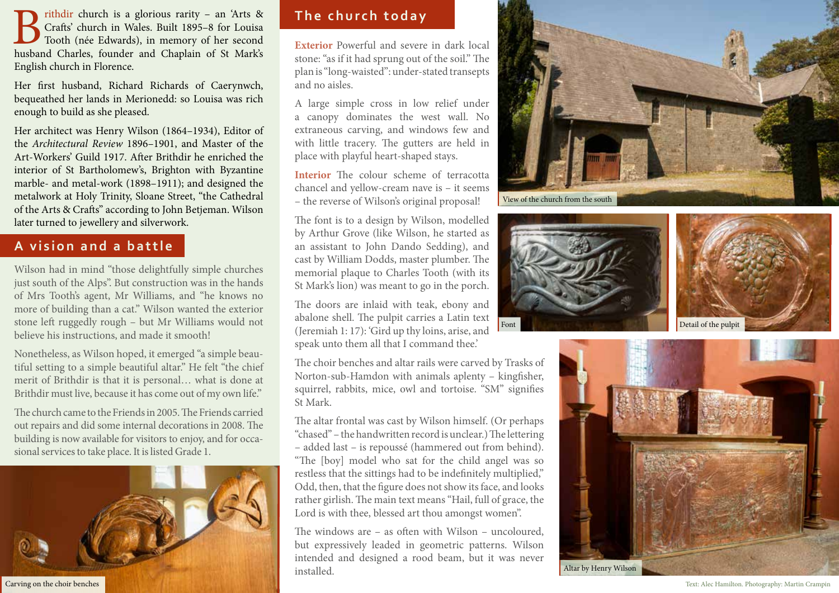Brithdir church is a glorious rarity – an 'Arts & Crafts' church in Wales. Built 1895–8 for Louisa Tooth (née Edwards), in memory of her second husband Charles, founder and Chaplain of St Mark's Crafts' church in Wales. Built 1895–8 for Louisa Tooth (née Edwards), in memory of her second English church in Florence.

Her first husband, Richard Richards of Caerynwch, bequeathed her lands in Merionedd: so Louisa was rich enough to build as she pleased.

Her architect was Henry Wilson (1864–1934), Editor of the *Architectural Review* 1896–1901, and Master of the Art-Workers' Guild 1917. After Brithdir he enriched the interior of St Bartholomew's, Brighton with Byzantine marble- and metal-work (1898–1911); and designed the metalwork at Holy Trinity, Sloane Street, "the Cathedral of the Arts & Crafts" according to John Betjeman. Wilson later turned to jewellery and silverwork.

# **A vision and a battle**

Wilson had in mind "those delightfully simple churches just south of the Alps". But construction was in the hands of Mrs Tooth's agent, Mr Williams, and "he knows no more of building than a cat." Wilson wanted the exterior stone left ruggedly rough – but Mr Williams would not believe his instructions, and made it smooth!

Nonetheless, as Wilson hoped, it emerged "a simple beautiful setting to a simple beautiful altar." He felt "the chief merit of Brithdir is that it is personal… what is done at Brithdir must live, because it has come out of my own life."

The church came to the Friends in 2005. The Friends carried out repairs and did some internal decorations in 2008. The building is now available for visitors to enjoy, and for occasional services to take place. It is listed Grade 1.



**The church today**

**Exterior** Powerful and severe in dark local stone: "as if it had sprung out of the soil." The plan is "long-waisted": under-stated transepts and no aisles.

A large simple cross in low relief under a canopy dominates the west wall. No extraneous carving, and windows few and with little tracery. The gutters are held in place with playful heart-shaped stays.

**Interior** The colour scheme of terracotta chancel and yellow-cream nave is – it seems – the reverse of Wilson's original proposal!

The font is to a design by Wilson, modelled by Arthur Grove (like Wilson, he started as an assistant to John Dando Sedding), and cast by William Dodds, master plumber. The memorial plaque to Charles Tooth (with its St Mark's lion) was meant to go in the porch.

The doors are inlaid with teak, ebony and abalone shell. The pulpit carries a Latin text (Jeremiah 1: 17): 'Gird up thy loins, arise, and speak unto them all that I command thee.'

The choir benches and altar rails were carved by Trasks of Norton-sub-Hamdon with animals aplenty – kingfisher, squirrel, rabbits, mice, owl and tortoise. "SM" signifies St Mark.

The altar frontal was cast by Wilson himself. (Or perhaps "chased" – the handwritten record is unclear.) The lettering – added last – is repoussé (hammered out from behind). "The [boy] model who sat for the child angel was so restless that the sittings had to be indefinitely multiplied," Odd, then, that the figure does not show its face, and looks rather girlish. The main text means "Hail, full of grace, the Lord is with thee, blessed art thou amongst women".

The windows are – as often with Wilson – uncoloured, but expressively leaded in geometric patterns. Wilson intended and designed a rood beam, but it was never installed.